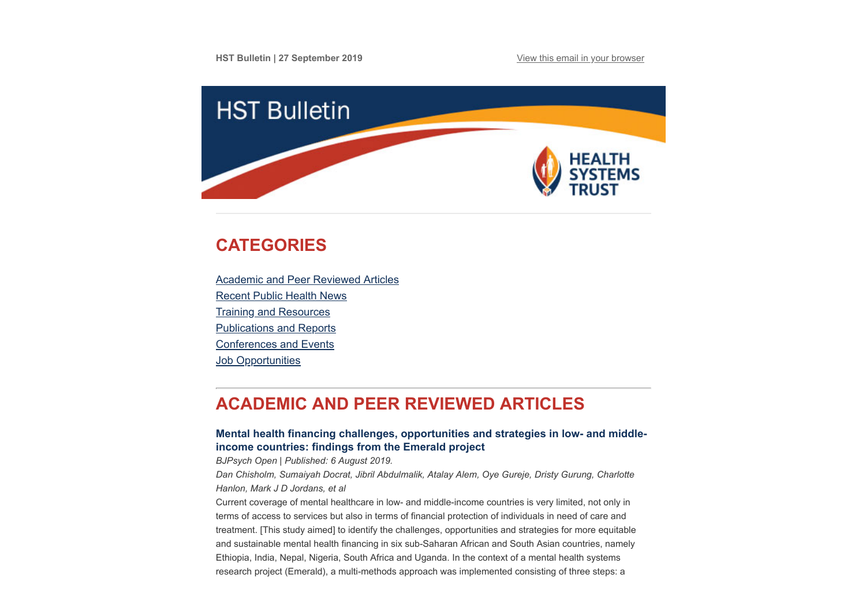

# <span id="page-0-1"></span>**CATEGORIES**

[Academic and Peer Reviewed Articles](#page-0-0) [Recent Public Health News](#page-3-0) [Training and Resources](#page-4-0) [Publications and Reports](#page-4-1) [Conferences and Events](#page-5-0) **Job Opportunities** 

# <span id="page-0-0"></span>**ACADEMIC AND PEER REVIEWED ARTICLES**

# **[Mental health financing challenges, opportunities and strategies in low- and middle](https://www.cambridge.org/core/journals/bjpsych-open/article/mental-health-financing-challenges-opportunities-and-strategies-in-low-and-middleincome-countries-findings-from-the-emerald-project/96FE6EDE28C04022581676CE96A561FB/core-reader)income countries: findings from the Emerald project**

*BJPsych Open | Published: 6 August 2019.*

*Dan Chisholm, Sumaiyah Docrat, Jibril Abdulmalik, Atalay Alem, Oye Gureje, Dristy Gurung, Charlotte Hanlon, Mark J D Jordans, et al*

Current coverage of mental healthcare in low- and middle-income countries is very limited, not only in terms of access to services but also in terms of financial protection of individuals in need of care and treatment. [This study aimed] to identify the challenges, opportunities and strategies for more equitable and sustainable mental health financing in six sub-Saharan African and South Asian countries, namely Ethiopia, India, Nepal, Nigeria, South Africa and Uganda. In the context of a mental health systems research project (Emerald), a multi-methods approach was implemented consisting of three steps: a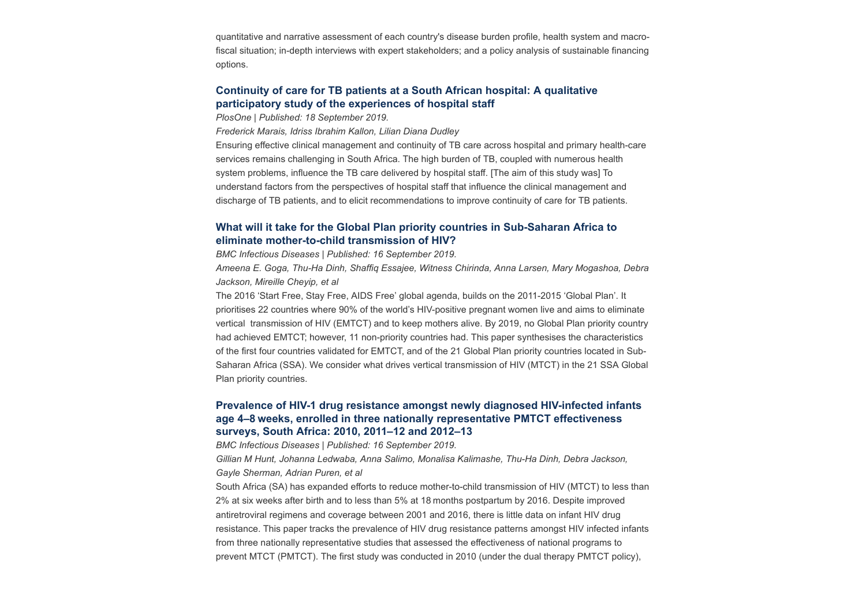quantitative and narrative assessment of each country's disease burden profile, health system and macrofiscal situation; in-depth interviews with expert stakeholders; and a policy analysis of sustainable financing options.

## **[Continuity of care for TB patients at a South African hospital: A qualitative](https://journals.plos.org/plosone/article?id=10.1371/journal.pone.0222421) participatory study of the experiences of hospital staff**

*PlosOne | Published: 18 September 2019.*

*Frederick Marais, Idriss Ibrahim Kallon, Lilian Diana Dudley*

Ensuring effective clinical management and continuity of TB care across hospital and primary health-care services remains challenging in South Africa. The high burden of TB, coupled with numerous health system problems, influence the TB care delivered by hospital staff. [The aim of this study was] To understand factors from the perspectives of hospital staff that influence the clinical management and discharge of TB patients, and to elicit recommendations to improve continuity of care for TB patients.

## **[What will it take for the Global Plan priority countries in Sub-Saharan Africa to](https://bmcinfectdis.biomedcentral.com/articles/10.1186/s12879-019-4393-5) eliminate mother-to-child transmission of HIV?**

*BMC Infectious Diseases | Published: 16 September 2019.*

*Ameena E. Goga, Thu-Ha Dinh, Shaffiq Essajee, Witness Chirinda, Anna Larsen, Mary Mogashoa, Debra Jackson, Mireille Cheyip, et al*

The 2016 'Start Free, Stay Free, AIDS Free' global agenda, builds on the 2011-2015 'Global Plan'. It prioritises 22 countries where 90% of the world's HIV-positive pregnant women live and aims to eliminate vertical transmission of HIV (EMTCT) and to keep mothers alive. By 2019, no Global Plan priority country had achieved EMTCT; however, 11 non-priority countries had. This paper synthesises the characteristics of the first four countries validated for EMTCT, and of the 21 Global Plan priority countries located in Sub-Saharan Africa (SSA). We consider what drives vertical transmission of HIV (MTCT) in the 21 SSA Global Plan priority countries.

## **[Prevalence of HIV-1 drug resistance amongst newly diagnosed HIV-infected infants](https://bmcinfectdis.biomedcentral.com/articles/10.1186/s12879-019-4339-y) age 4–8 weeks, enrolled in three nationally representative PMTCT effectiveness surveys, South Africa: 2010, 2011–12 and 2012–13**

*BMC Infectious Diseases | Published: 16 September 2019.*

*Gillian M Hunt, Johanna Ledwaba, Anna Salimo, Monalisa Kalimashe, Thu-Ha Dinh, Debra Jackson, Gayle Sherman, Adrian Puren, et al*

South Africa (SA) has expanded efforts to reduce mother-to-child transmission of HIV (MTCT) to less than 2% at six weeks after birth and to less than 5% at 18 months postpartum by 2016. Despite improved antiretroviral regimens and coverage between 2001 and 2016, there is little data on infant HIV drug resistance. This paper tracks the prevalence of HIV drug resistance patterns amongst HIV infected infants from three nationally representative studies that assessed the effectiveness of national programs to prevent MTCT (PMTCT). The first study was conducted in 2010 (under the dual therapy PMTCT policy),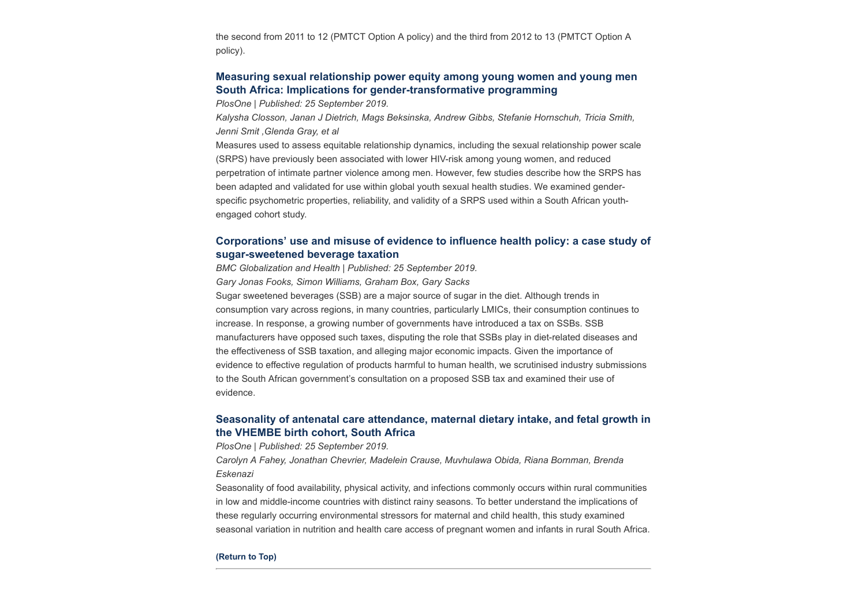the second from 2011 to 12 (PMTCT Option A policy) and the third from 2012 to 13 (PMTCT Option A policy).

## **[Measuring sexual relationship power equity among young women and young men](https://journals.plos.org/plosone/article?id=10.1371/journal.pone.0221554) South Africa: Implications for gender-transformative programming**

*PlosOne | Published: 25 September 2019.*

*Kalysha Closson, Janan J Dietrich, Mags Beksinska, Andrew Gibbs, Stefanie Hornschuh, Tricia Smith, Jenni Smit ,Glenda Gray, et al*

Measures used to assess equitable relationship dynamics, including the sexual relationship power scale (SRPS) have previously been associated with lower HIV-risk among young women, and reduced perpetration of intimate partner violence among men. However, few studies describe how the SRPS has been adapted and validated for use within global youth sexual health studies. We examined genderspecific psychometric properties, reliability, and validity of a SRPS used within a South African youthengaged cohort study.

# **[Corporations' use and misuse of evidence to influence health policy: a case study of](https://globalizationandhealth.biomedcentral.com/articles/10.1186/s12992-019-0495-5) sugar-sweetened beverage taxation**

*BMC Globalization and Health | Published: 25 September 2019.*

*Gary Jonas Fooks, Simon Williams, Graham Box, Gary Sacks*

Sugar sweetened beverages (SSB) are a major source of sugar in the diet. Although trends in consumption vary across regions, in many countries, particularly LMICs, their consumption continues to increase. In response, a growing number of governments have introduced a tax on SSBs. SSB manufacturers have opposed such taxes, disputing the role that SSBs play in diet-related diseases and the effectiveness of SSB taxation, and alleging major economic impacts. Given the importance of evidence to effective regulation of products harmful to human health, we scrutinised industry submissions to the South African government's consultation on a proposed SSB tax and examined their use of evidence.

# **[Seasonality of antenatal care attendance, maternal dietary intake, and fetal growth in](https://journals.plos.org/plosone/article?id=10.1371/journal.pone.0222888) the VHEMBE birth cohort, South Africa**

*PlosOne | Published: 25 September 2019.*

*Carolyn A Fahey, Jonathan Chevrier, Madelein Crause, Muvhulawa Obida, Riana Bornman, Brenda Eskenazi*

Seasonality of food availability, physical activity, and infections commonly occurs within rural communities in low and middle-income countries with distinct rainy seasons. To better understand the implications of these regularly occurring environmental stressors for maternal and child health, this study examined seasonal variation in nutrition and health care access of pregnant women and infants in rural South Africa.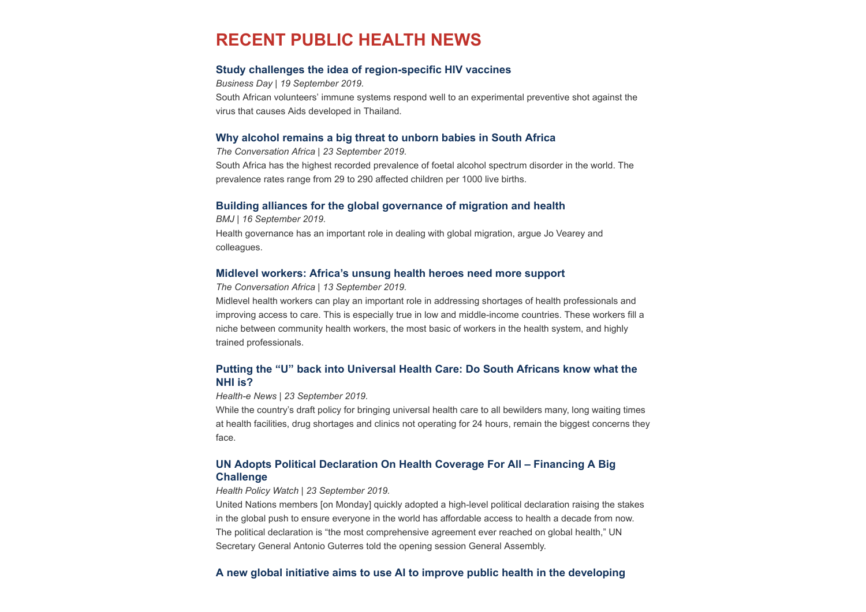# <span id="page-3-0"></span>**RECENT PUBLIC HEALTH NEWS**

## **[Study challenges the idea of region-specific HIV vaccines](https://www.businesslive.co.za/bd/national/health/2019-09-18-study-challenges-the-idea-of-region-specific-hiv-vaccines/)**

*Business Day | 19 September 2019.* South African volunteers' immune systems respond well to an experimental preventive shot against the virus that causes Aids developed in Thailand.

### **[Why alcohol remains a big threat to unborn babies in South Africa](https://theconversation.com/why-alcohol-remains-a-big-threat-to-unborn-babies-in-south-africa-123615)**

*The Conversation Africa | 23 September 2019.* South Africa has the highest recorded prevalence of foetal alcohol spectrum disorder in the world. The prevalence rates range from 29 to 290 affected children per 1000 live births.

### **[Building alliances for the global governance of migration and health](https://www.bmj.com/content/366/bmj.l4143)**

*BMJ | 16 September 2019.* Health governance has an important role in dealing with global migration, argue Jo Vearey and colleagues.

### **[Midlevel workers: Africa's unsung health heroes need more support](https://theconversation.com/midlevel-workers-africas-unsung-health-heroes-need-more-support-122890)**

*The Conversation Africa | 13 September 2019.*

Midlevel health workers can play an important role in addressing shortages of health professionals and improving access to care. This is especially true in low and middle-income countries. These workers fill a niche between community health workers, the most basic of workers in the health system, and highly trained professionals.

## **[Putting the "U" back into Universal Health Care: Do South Africans know what the](https://health-e.org.za/2019/09/23/what-is-nhi-national-health-insurance-south-africa-un-high-level-meeting-universal-health-coverage/) NHI is?**

*Health-e News | 23 September 2019.* 

While the country's draft policy for bringing universal health care to all bewilders many, long waiting times at health facilities, drug shortages and clinics not operating for 24 hours, remain the biggest concerns they face.

# **[UN Adopts Political Declaration On Health Coverage For All – Financing A Big](https://www.healthpolicy-watch.org/un-adopts-political-declaration-on-health-coverage-for-all-amid-efforts-for-financing/) Challenge**

#### *Health Policy Watch | 23 September 2019.*

United Nations members [on Monday] quickly adopted a high-level political declaration raising the stakes in the global push to ensure everyone in the world has affordable access to health a decade from now. The political declaration is "the most comprehensive agreement ever reached on global health," UN Secretary General Antonio Guterres told the opening session General Assembly.

## **[A new global initiative aims to use AI to improve public health in the developing](https://www.statnews.com/2019/09/25/rockefeller-foundation-initiative-ai-improve-public-health-developing-world/?utm_source=Global+Health+NOW+Main+List&utm_campaign=e597abcf11-EMAIL_CAMPAIGN_2019_09_25_02_14&utm_medium=email&utm_term=0_8d0d062dbd-e597abcf11-2811001)**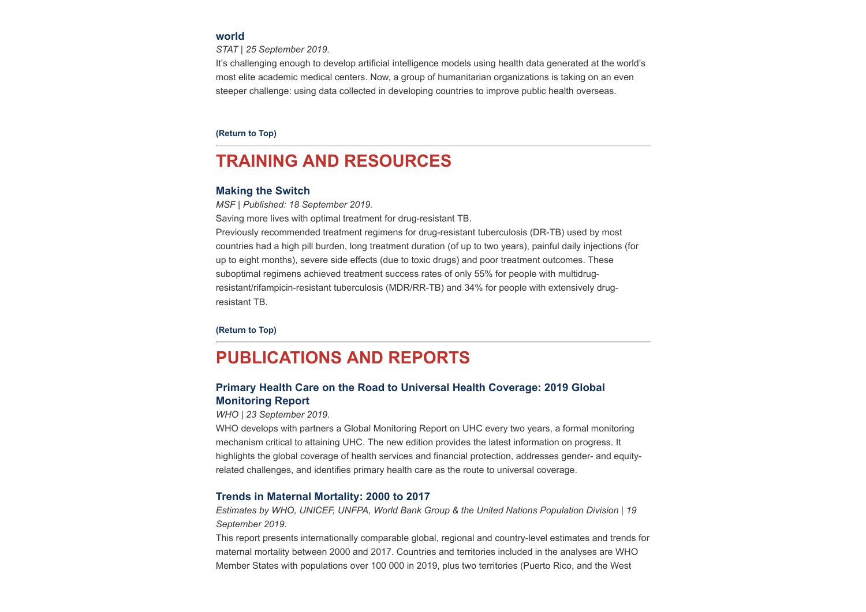### **[world](https://www.statnews.com/2019/09/25/rockefeller-foundation-initiative-ai-improve-public-health-developing-world/?utm_source=Global+Health+NOW+Main+List&utm_campaign=e597abcf11-EMAIL_CAMPAIGN_2019_09_25_02_14&utm_medium=email&utm_term=0_8d0d062dbd-e597abcf11-2811001)**

*STAT | 25 September 2019.*

It's challenging enough to develop artificial intelligence models using health data generated at the world's most elite academic medical centers. Now, a group of humanitarian organizations is taking on an even steeper challenge: using data collected in developing countries to improve public health overseas.

**[\(Return to Top\)](#page-0-1)**

# <span id="page-4-0"></span>**TRAINING AND RESOURCES**

### **[Making the Switch](https://msfaccess.org/making-the-switch?tid=9&page=2)**

*MSF | Published: 18 September 2019.*

Saving more lives with optimal treatment for drug-resistant TB.

Previously recommended treatment regimens for drug-resistant tuberculosis (DR-TB) used by most countries had a high pill burden, long treatment duration (of up to two years), painful daily injections (for up to eight months), severe side effects (due to toxic drugs) and poor treatment outcomes. These suboptimal regimens achieved treatment success rates of only 55% for people with multidrugresistant/rifampicin-resistant tuberculosis (MDR/RR-TB) and 34% for people with extensively drugresistant TB.

**[\(Return to Top\)](#page-0-1)**

# <span id="page-4-1"></span>**PUBLICATIONS AND REPORTS**

## **[Primary Health Care on the Road to Universal Health Coverage: 2019 Global](https://www.hst.org.za/publications/NonHST%20Publications/PHC%20on%20the%20road%20to%20UHC.pdf) Monitoring Report**

#### *WHO | 23 September 2019.*

WHO develops with partners a Global Monitoring Report on UHC every two years, a formal monitoring mechanism critical to attaining UHC. The new edition provides the latest information on progress. It highlights the global coverage of health services and financial protection, addresses gender- and equityrelated challenges, and identifies primary health care as the route to universal coverage.

### **[Trends in Maternal Mortality: 2000 to 2017](https://who.canto.global/pdfviewer/viewer/viewer.html?v=MediaAssets&portalType=v%2FMediaAssets&column=document&id=fbabjqevfd7cn3n6aq9d6jp16a&suffix=pdf)**

*Estimates by WHO, UNICEF, UNFPA, World Bank Group & the United Nations Population Division | 19 September 2019.*

This report presents internationally comparable global, regional and country-level estimates and trends for maternal mortality between 2000 and 2017. Countries and territories included in the analyses are WHO Member States with populations over 100 000 in 2019, plus two territories (Puerto Rico, and the West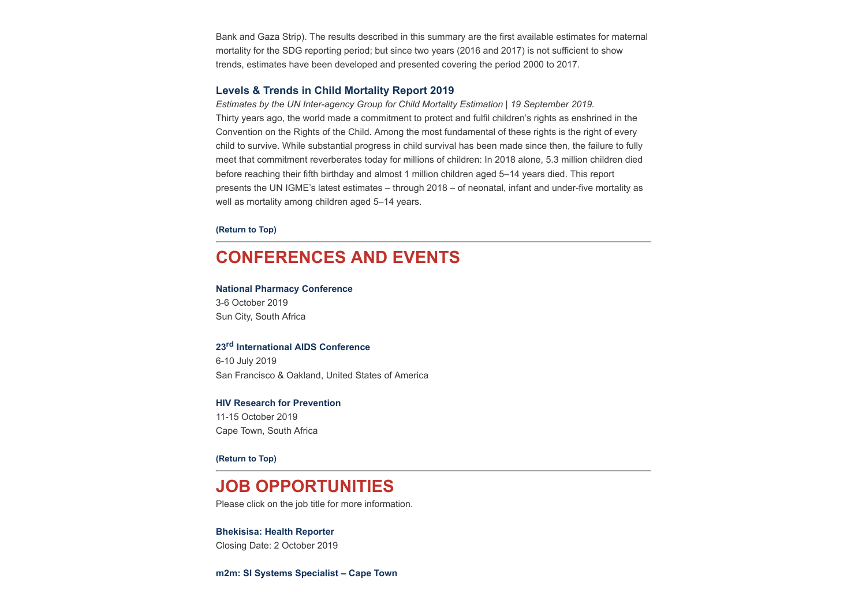Bank and Gaza Strip). The results described in this summary are the first available estimates for maternal mortality for the SDG reporting period; but since two years (2016 and 2017) is not sufficient to show trends, estimates have been developed and presented covering the period 2000 to 2017.

### **[Levels & Trends in Child Mortality Report 2019](https://www.hst.org.za/publications/NonHST%20Publications/Levels%20and%20Trends%20in%20Child%20mortality.pdf)**

*Estimates by the UN Inter-agency Group for Child Mortality Estimation | 19 September 2019.* Thirty years ago, the world made a commitment to protect and fulfil children's rights as enshrined in the Convention on the Rights of the Child. Among the most fundamental of these rights is the right of every child to survive. While substantial progress in child survival has been made since then, the failure to fully meet that commitment reverberates today for millions of children: In 2018 alone, 5.3 million children died before reaching their fifth birthday and almost 1 million children aged 5–14 years died. This report presents the UN IGME's latest estimates – through 2018 – of neonatal, infant and under-five mortality as well as mortality among children aged 5–14 years.

#### **[\(Return to Top\)](#page-0-1)**

# <span id="page-5-0"></span>**CONFERENCES AND EVENTS**

### **[National Pharmacy Conference](https://www.sapcconference.za.org/)**

3-6 October 2019 Sun City, South Africa

## **23rd [International AIDS Conference](http://www.aids2020.org/)**

6-10 July 2019 San Francisco & Oakland, United States of America

#### **[HIV Research for Prevention](http://hivr4p.org/)**

11-15 October 2019 Cape Town, South Africa

#### **[\(Return to Top\)](#page-0-1)**

# **JOB OPPORTUNITIES**

Please click on the job title for more information.

#### **[Bhekisisa: Health Reporter](http://www.ngopulse.org/opportunity/2019/09/10/health-reporter)**

Closing Date: 2 October 2019

**[m2m: SI Systems Specialist – Cape Town](http://www.ngopulse.org/opportunity/2019/09/23/m2m-si-systems-specialist-%E2%80%93-cape-town)**